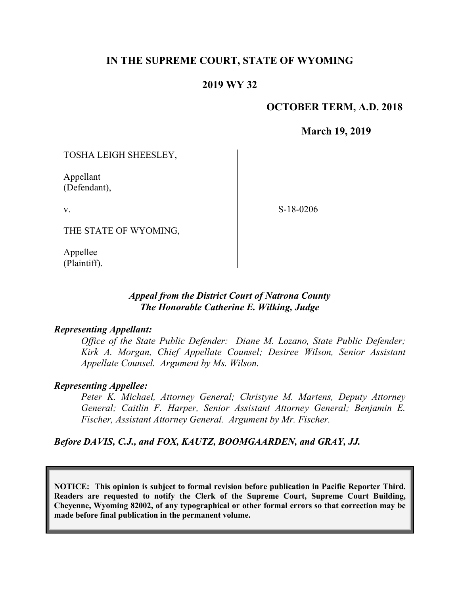# **IN THE SUPREME COURT, STATE OF WYOMING**

# **2019 WY 32**

## **OCTOBER TERM, A.D. 2018**

**March 19, 2019**

TOSHA LEIGH SHEESLEY,

Appellant (Defendant),

v.

S-18-0206

THE STATE OF WYOMING,

Appellee (Plaintiff).

## *Appeal from the District Court of Natrona County The Honorable Catherine E. Wilking, Judge*

### *Representing Appellant:*

*Office of the State Public Defender: Diane M. Lozano, State Public Defender; Kirk A. Morgan, Chief Appellate Counsel; Desiree Wilson, Senior Assistant Appellate Counsel. Argument by Ms. Wilson.*

### *Representing Appellee:*

*Peter K. Michael, Attorney General; Christyne M. Martens, Deputy Attorney General; Caitlin F. Harper, Senior Assistant Attorney General; Benjamin E. Fischer, Assistant Attorney General. Argument by Mr. Fischer.*

*Before DAVIS, C.J., and FOX, KAUTZ, BOOMGAARDEN, and GRAY, JJ.*

**NOTICE: This opinion is subject to formal revision before publication in Pacific Reporter Third. Readers are requested to notify the Clerk of the Supreme Court, Supreme Court Building, Cheyenne, Wyoming 82002, of any typographical or other formal errors so that correction may be made before final publication in the permanent volume.**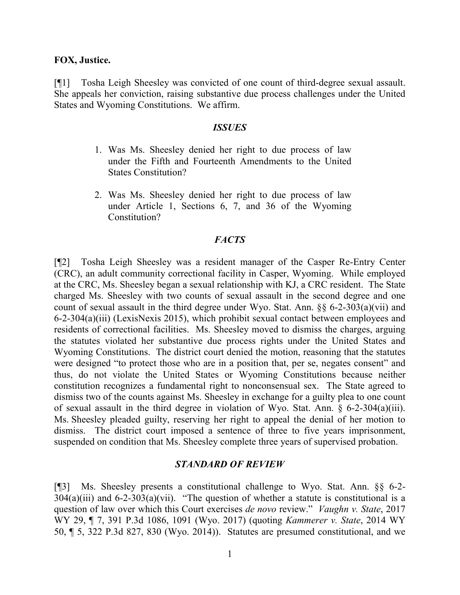#### **FOX, Justice.**

[¶1] Tosha Leigh Sheesley was convicted of one count of third-degree sexual assault. She appeals her conviction, raising substantive due process challenges under the United States and Wyoming Constitutions. We affirm.

#### *ISSUES*

- 1. Was Ms. Sheesley denied her right to due process of law under the Fifth and Fourteenth Amendments to the United States Constitution?
- 2. Was Ms. Sheesley denied her right to due process of law under Article 1, Sections 6, 7, and 36 of the Wyoming Constitution?

### *FACTS*

[¶2] Tosha Leigh Sheesley was a resident manager of the Casper Re-Entry Center (CRC), an adult community correctional facility in Casper, Wyoming. While employed at the CRC, Ms. Sheesley began a sexual relationship with KJ, a CRC resident. The State charged Ms. Sheesley with two counts of sexual assault in the second degree and one count of sexual assault in the third degree under Wyo. Stat. Ann. §§ 6-2-303(a)(vii) and 6-2-304(a)(iii) (LexisNexis 2015), which prohibit sexual contact between employees and residents of correctional facilities. Ms. Sheesley moved to dismiss the charges, arguing the statutes violated her substantive due process rights under the United States and Wyoming Constitutions. The district court denied the motion, reasoning that the statutes were designed "to protect those who are in a position that, per se, negates consent" and thus, do not violate the United States or Wyoming Constitutions because neither constitution recognizes a fundamental right to nonconsensual sex. The State agreed to dismiss two of the counts against Ms. Sheesley in exchange for a guilty plea to one count of sexual assault in the third degree in violation of Wyo. Stat. Ann. § 6-2-304(a)(iii). Ms. Sheesley pleaded guilty, reserving her right to appeal the denial of her motion to dismiss. The district court imposed a sentence of three to five years imprisonment, suspended on condition that Ms. Sheesley complete three years of supervised probation.

#### *STANDARD OF REVIEW*

[¶3] Ms. Sheesley presents a constitutional challenge to Wyo. Stat. Ann. §§ 6-2-  $304(a)(iii)$  and  $6-2-303(a)(vii)$ . "The question of whether a statute is constitutional is a question of law over which this Court exercises *de novo* review." *Vaughn v. State*, 2017 WY 29, ¶ 7, 391 P.3d 1086, 1091 (Wyo. 2017) (quoting *Kammerer v. State*, 2014 WY 50, ¶ 5, 322 P.3d 827, 830 (Wyo. 2014)). Statutes are presumed constitutional, and we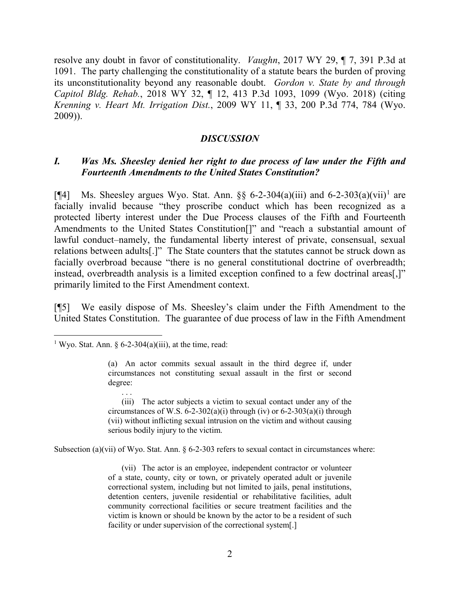resolve any doubt in favor of constitutionality. *Vaughn*, 2017 WY 29, ¶ 7, 391 P.3d at 1091. The party challenging the constitutionality of a statute bears the burden of proving its unconstitutionality beyond any reasonable doubt. *Gordon v. State by and through Capitol Bldg. Rehab.*, 2018 WY 32, ¶ 12, 413 P.3d 1093, 1099 (Wyo. 2018) (citing *Krenning v. Heart Mt. Irrigation Dist.*, 2009 WY 11, ¶ 33, 200 P.3d 774, 784 (Wyo. 2009)).

## *DISCUSSION*

## *I. Was Ms. Sheesley denied her right to due process of law under the Fifth and Fourteenth Amendments to the United States Constitution?*

[ $[$ 4] Ms. Sheesley argues Wyo. Stat. Ann. §§ 6-2-304(a)(iii) and 6-2-303(a)(vii)<sup>[1](#page-2-0)</sup> are facially invalid because "they proscribe conduct which has been recognized as a protected liberty interest under the Due Process clauses of the Fifth and Fourteenth Amendments to the United States Constitution[]" and "reach a substantial amount of lawful conduct–namely, the fundamental liberty interest of private, consensual, sexual relations between adults[.]" The State counters that the statutes cannot be struck down as facially overbroad because "there is no general constitutional doctrine of overbreadth; instead, overbreadth analysis is a limited exception confined to a few doctrinal areas[,]" primarily limited to the First Amendment context.

[¶5] We easily dispose of Ms. Sheesley's claim under the Fifth Amendment to the United States Constitution. The guarantee of due process of law in the Fifth Amendment

. . .

(iii) The actor subjects a victim to sexual contact under any of the circumstances of W.S.  $6-2-302(a)(i)$  through (iv) or  $6-2-303(a)(i)$  through (vii) without inflicting sexual intrusion on the victim and without causing serious bodily injury to the victim.

Subsection (a)(vii) of Wyo. Stat. Ann.  $\S 6-2-303$  refers to sexual contact in circumstances where:

(vii) The actor is an employee, independent contractor or volunteer of a state, county, city or town, or privately operated adult or juvenile correctional system, including but not limited to jails, penal institutions, detention centers, juvenile residential or rehabilitative facilities, adult community correctional facilities or secure treatment facilities and the victim is known or should be known by the actor to be a resident of such facility or under supervision of the correctional system[.]

<span id="page-2-0"></span><sup>&</sup>lt;sup>1</sup> Wyo. Stat. Ann. § 6-2-304(a)(iii), at the time, read:

<sup>(</sup>a) An actor commits sexual assault in the third degree if, under circumstances not constituting sexual assault in the first or second degree: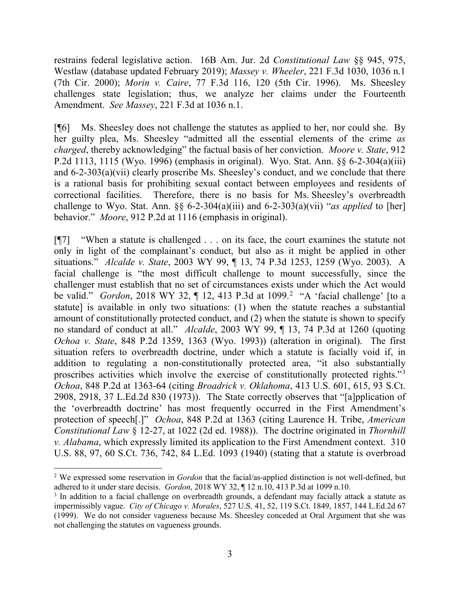restrains federal legislative action. 16B Am. Jur. 2d *Constitutional Law* §§ 945, 975, Westlaw (database updated February 2019); *Massey v. Wheeler*, 221 F.3d 1030, 1036 n.1 (7th Cir. 2000); *Morin v. Caire*, 77 F.3d 116, 120 (5th Cir. 1996). Ms. Sheesley challenges state legislation; thus, we analyze her claims under the Fourteenth Amendment. *See Massey*, 221 F.3d at 1036 n.1.

[¶6] Ms. Sheesley does not challenge the statutes as applied to her, nor could she. By her guilty plea, Ms. Sheesley "admitted all the essential elements of the crime *as charged*, thereby acknowledging" the factual basis of her conviction. *Moore v. State*, 912 P.2d 1113, 1115 (Wyo. 1996) (emphasis in original). Wyo. Stat. Ann. §§ 6-2-304(a)(iii) and 6-2-303(a)(vii) clearly proscribe Ms. Sheesley's conduct, and we conclude that there is a rational basis for prohibiting sexual contact between employees and residents of correctional facilities. Therefore, there is no basis for Ms. Sheesley's overbreadth challenge to Wyo. Stat. Ann. §§ 6-2-304(a)(iii) and 6-2-303(a)(vii) "*as applied* to [her] behavior." *Moore*, 912 P.2d at 1116 (emphasis in original).

[¶7] "When a statute is challenged . . . on its face, the court examines the statute not only in light of the complainant's conduct, but also as it might be applied in other situations." *Alcalde v. State*, 2003 WY 99, ¶ 13, 74 P.3d 1253, 1259 (Wyo. 2003). A facial challenge is "the most difficult challenge to mount successfully, since the challenger must establish that no set of circumstances exists under which the Act would be valid." *Gordon*, [2](#page-3-0)018 WY 32, 1 12, 413 P.3d at 1099.<sup>2</sup> "A 'facial challenge' [to a statute] is available in only two situations: (1) when the statute reaches a substantial amount of constitutionally protected conduct, and (2) when the statute is shown to specify no standard of conduct at all." *Alcalde*, 2003 WY 99, ¶ 13, 74 P.3d at 1260 (quoting *Ochoa v. State*, 848 P.2d 1359, 1363 (Wyo. 1993)) (alteration in original). The first situation refers to overbreadth doctrine, under which a statute is facially void if, in addition to regulating a non-constitutionally protected area, "it also substantially proscribes activities which involve the exercise of constitutionally protected rights."<sup>[3](#page-3-1)</sup> *Ochoa*, 848 P.2d at 1363-64 (citing *Broadrick v. Oklahoma*, 413 U.S. 601, 615, 93 S.Ct. 2908, 2918, 37 L.Ed.2d 830 (1973)). The State correctly observes that "[a]pplication of the 'overbreadth doctrine' has most frequently occurred in the First Amendment's protection of speech[.]" *Ochoa*, 848 P.2d at 1363 (citing Laurence H. Tribe, *American Constitutional Law* § 12-27, at 1022 (2d ed. 1988)). The doctrine originated in *Thornhill v. Alabama*, which expressly limited its application to the First Amendment context. 310 U.S. 88, 97, 60 S.Ct. 736, 742, 84 L.Ed. 1093 (1940) (stating that a statute is overbroad

<span id="page-3-0"></span> <sup>2</sup> We expressed some reservation in *Gordon* that the facial/as-applied distinction is not well-defined, but adhered to it under stare decisis. *Gordon*, 2018 WY 32, ¶ 12 n.10, 413 P.3d at 1099 n.10.

<span id="page-3-1"></span><sup>&</sup>lt;sup>3</sup> In addition to a facial challenge on overbreadth grounds, a defendant may facially attack a statute as impermissibly vague. *City of Chicago v. Morales*, 527 U.S. 41, 52, 119 S.Ct. 1849, 1857, 144 L.Ed.2d 67 (1999). We do not consider vagueness because Ms. Sheesley conceded at Oral Argument that she was not challenging the statutes on vagueness grounds.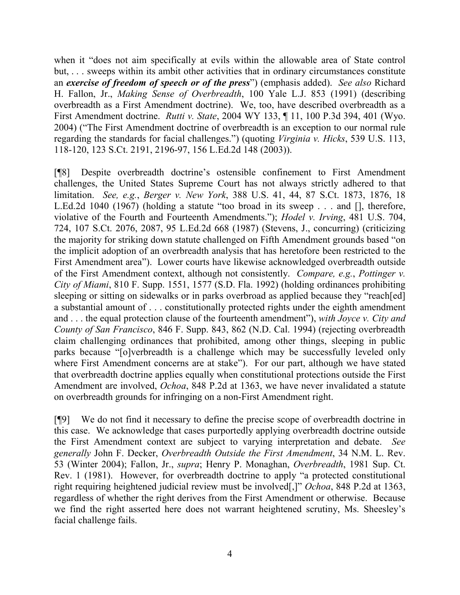when it "does not aim specifically at evils within the allowable area of State control but, ... sweeps within its ambit other activities that in ordinary circumstances constitute an *exercise of freedom of speech or of the press*") (emphasis added). *See also* Richard H. Fallon, Jr., *Making Sense of Overbreadth*, 100 Yale L.J. 853 (1991) (describing overbreadth as a First Amendment doctrine). We, too, have described overbreadth as a First Amendment doctrine. *Rutti v. State*, 2004 WY 133, ¶ 11, 100 P.3d 394, 401 (Wyo. 2004) ("The First Amendment doctrine of overbreadth is an exception to our normal rule regarding the standards for facial challenges.") (quoting *Virginia v. Hicks*, 539 U.S. 113, 118-120, 123 S.Ct. 2191, 2196-97, 156 L.Ed.2d 148 (2003)).

[¶8] Despite overbreadth doctrine's ostensible confinement to First Amendment challenges, the United States Supreme Court has not always strictly adhered to that limitation. *See, e.g.*, *Berger v. New York*, 388 U.S. 41, 44, 87 S.Ct. 1873, 1876, 18 L.Ed.2d 1040 (1967) (holding a statute "too broad in its sweep . . . and [], therefore, violative of the Fourth and Fourteenth Amendments."); *Hodel v. Irving*, 481 U.S. 704, 724, 107 S.Ct. 2076, 2087, 95 L.Ed.2d 668 (1987) (Stevens, J., concurring) (criticizing the majority for striking down statute challenged on Fifth Amendment grounds based "on the implicit adoption of an overbreadth analysis that has heretofore been restricted to the First Amendment area"). Lower courts have likewise acknowledged overbreadth outside of the First Amendment context, although not consistently. *Compare, e.g.*, *Pottinger v. City of Miami*, 810 F. Supp. 1551, 1577 (S.D. Fla. 1992) (holding ordinances prohibiting sleeping or sitting on sidewalks or in parks overbroad as applied because they "reach [ed] a substantial amount of . . . constitutionally protected rights under the eighth amendment and . . . the equal protection clause of the fourteenth amendment"), *with Joyce v. City and County of San Francisco*, 846 F. Supp. 843, 862 (N.D. Cal. 1994) (rejecting overbreadth claim challenging ordinances that prohibited, among other things, sleeping in public parks because "[o]verbreadth is a challenge which may be successfully leveled only where First Amendment concerns are at stake"). For our part, although we have stated that overbreadth doctrine applies equally when constitutional protections outside the First Amendment are involved, *Ochoa*, 848 P.2d at 1363, we have never invalidated a statute on overbreadth grounds for infringing on a non-First Amendment right.

[¶9] We do not find it necessary to define the precise scope of overbreadth doctrine in this case. We acknowledge that cases purportedly applying overbreadth doctrine outside the First Amendment context are subject to varying interpretation and debate. *See generally* John F. Decker, *Overbreadth Outside the First Amendment*, 34 N.M. L. Rev. 53 (Winter 2004); Fallon, Jr., *supra*; Henry P. Monaghan, *Overbreadth*, 1981 Sup. Ct. Rev. 1 (1981). However, for overbreadth doctrine to apply "a protected constitutional right requiring heightened judicial review must be involved[,]" *Ochoa*, 848 P.2d at 1363, regardless of whether the right derives from the First Amendment or otherwise. Because we find the right asserted here does not warrant heightened scrutiny, Ms. Sheesley's facial challenge fails.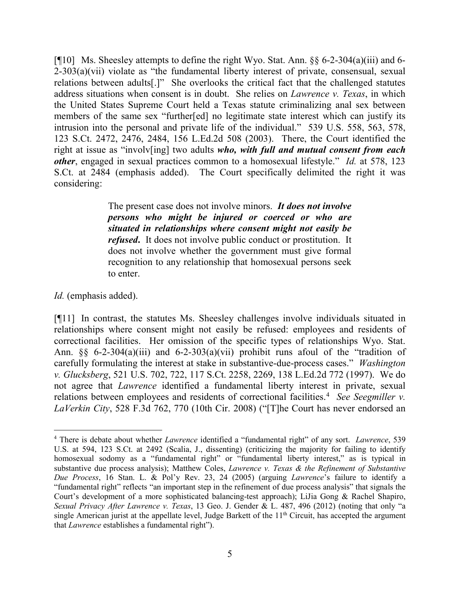[¶10] Ms. Sheesley attempts to define the right Wyo. Stat. Ann. §§ 6-2-304(a)(iii) and 6- 2-303(a)(vii) violate as "the fundamental liberty interest of private, consensual, sexual relations between adults[.]" She overlooks the critical fact that the challenged statutes address situations when consent is in doubt. She relies on *Lawrence v. Texas*, in which the United States Supreme Court held a Texas statute criminalizing anal sex between members of the same sex "further[ed] no legitimate state interest which can justify its intrusion into the personal and private life of the individual." 539 U.S. 558, 563, 578, 123 S.Ct. 2472, 2476, 2484, 156 L.Ed.2d 508 (2003). There, the Court identified the right at issue as "involv[ing] two adults *who, with full and mutual consent from each other*, engaged in sexual practices common to a homosexual lifestyle." *Id.* at 578, 123 S.Ct. at 2484 (emphasis added). The Court specifically delimited the right it was considering:

> The present case does not involve minors. *It does not involve persons who might be injured or coerced or who are situated in relationships where consent might not easily be refused***.** It does not involve public conduct or prostitution. It does not involve whether the government must give formal recognition to any relationship that homosexual persons seek to enter.

*Id.* (emphasis added).

[¶11] In contrast, the statutes Ms. Sheesley challenges involve individuals situated in relationships where consent might not easily be refused: employees and residents of correctional facilities. Her omission of the specific types of relationships Wyo. Stat. Ann.  $\S$  6-2-304(a)(iii) and 6-2-303(a)(vii) prohibit runs afoul of the "tradition of carefully formulating the interest at stake in substantive-due-process cases." *Washington v. Glucksberg*, 521 U.S. 702, 722, 117 S.Ct. 2258, 2269, 138 L.Ed.2d 772 (1997). We do not agree that *Lawrence* identified a fundamental liberty interest in private, sexual relations between employees and residents of correctional facilities.<sup>[4](#page-5-0)</sup> See Seegmiller v. *LaVerkin City*, 528 F.3d 762, 770 (10th Cir. 2008) ("[T]he Court has never endorsed an

<span id="page-5-0"></span> <sup>4</sup> There is debate about whether *Lawrence* identified a "fundamental right" of any sort. *Lawrence*, 539 U.S. at 594, 123 S.Ct. at 2492 (Scalia, J., dissenting) (criticizing the majority for failing to identify homosexual sodomy as a "fundamental right" or "fundamental liberty interest," as is typical in substantive due process analysis); Matthew Coles, *Lawrence v. Texas & the Refinement of Substantive Due Process*, 16 Stan. L. & Pol'y Rev. 23, 24 (2005) (arguing *Lawrence*'s failure to identify a "fundamental right" reflects "an important step in the refinement of due process analysis" that signals the Court's development of a more sophisticated balancing-test approach); LiJia Gong & Rachel Shapiro, *Sexual Privacy After Lawrence v. Texas*, 13 Geo. J. Gender & L. 487, 496 (2012) (noting that only "a single American jurist at the appellate level, Judge Barkett of the 11<sup>th</sup> Circuit, has accepted the argument that *Lawrence* establishes a fundamental right").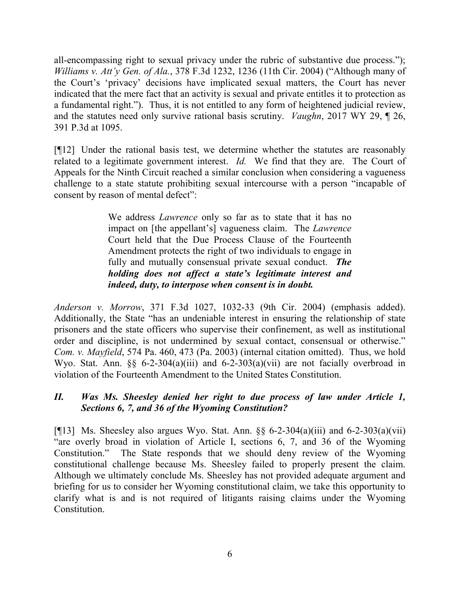all-encompassing right to sexual privacy under the rubric of substantive due process."); *Williams v. Att'y Gen. of Ala.*, 378 F.3d 1232, 1236 (11th Cir. 2004) ("Although many of the Court's 'privacy' decisions have implicated sexual matters, the Court has never indicated that the mere fact that an activity is sexual and private entitles it to protection as a fundamental right."). Thus, it is not entitled to any form of heightened judicial review, and the statutes need only survive rational basis scrutiny. *Vaughn*, 2017 WY 29, ¶ 26, 391 P.3d at 1095.

[¶12] Under the rational basis test, we determine whether the statutes are reasonably related to a legitimate government interest. *Id.* We find that they are. The Court of Appeals for the Ninth Circuit reached a similar conclusion when considering a vagueness challenge to a state statute prohibiting sexual intercourse with a person "incapable of consent by reason of mental defect":

> We address *Lawrence* only so far as to state that it has no impact on [the appellant's] vagueness claim. The *Lawrence*  Court held that the Due Process Clause of the Fourteenth Amendment protects the right of two individuals to engage in fully and mutually consensual private sexual conduct. *The holding does not affect a state's legitimate interest and indeed, duty, to interpose when consent is in doubt.*

*Anderson v. Morrow*, 371 F.3d 1027, 1032-33 (9th Cir. 2004) (emphasis added). Additionally, the State "has an undeniable interest in ensuring the relationship of state prisoners and the state officers who supervise their confinement, as well as institutional order and discipline, is not undermined by sexual contact, consensual or otherwise." *Com. v. Mayfield*, 574 Pa. 460, 473 (Pa. 2003) (internal citation omitted). Thus, we hold Wyo. Stat. Ann. §§ 6-2-304(a)(iii) and 6-2-303(a)(vii) are not facially overbroad in violation of the Fourteenth Amendment to the United States Constitution.

# *II. Was Ms. Sheesley denied her right to due process of law under Article 1, Sections 6, 7, and 36 of the Wyoming Constitution?*

[ $[$ [13] Ms. Sheesley also argues Wyo. Stat. Ann. §§ 6-2-304(a)(iii) and 6-2-303(a)(vii) "are overly broad in violation of Article I, sections 6, 7, and 36 of the Wyoming Constitution." The State responds that we should deny review of the Wyoming constitutional challenge because Ms. Sheesley failed to properly present the claim. Although we ultimately conclude Ms. Sheesley has not provided adequate argument and briefing for us to consider her Wyoming constitutional claim, we take this opportunity to clarify what is and is not required of litigants raising claims under the Wyoming Constitution.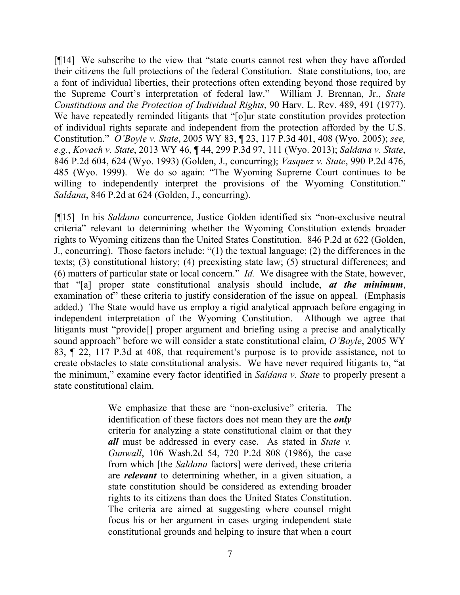[¶14] We subscribe to the view that "state courts cannot rest when they have afforded their citizens the full protections of the federal Constitution. State constitutions, too, are a font of individual liberties, their protections often extending beyond those required by the Supreme Court's interpretation of federal law." William J. Brennan, Jr., *State Constitutions and the Protection of Individual Rights*, 90 Harv. L. Rev. 489, 491 (1977). We have repeatedly reminded litigants that "[o]ur state constitution provides protection of individual rights separate and independent from the protection afforded by the U.S. Constitution." *O'Boyle v. State*, 2005 WY 83, ¶ 23, 117 P.3d 401, 408 (Wyo. 2005); *see, e.g.*, *Kovach v. State*, 2013 WY 46, ¶ 44, 299 P.3d 97, 111 (Wyo. 2013); *Saldana v. State*, 846 P.2d 604, 624 (Wyo. 1993) (Golden, J., concurring); *Vasquez v. State*, 990 P.2d 476, 485 (Wyo. 1999). We do so again: "The Wyoming Supreme Court continues to be willing to independently interpret the provisions of the Wyoming Constitution." *Saldana*, 846 P.2d at 624 (Golden, J., concurring).

[¶15] In his *Saldana* concurrence, Justice Golden identified six "non-exclusive neutral criteria" relevant to determining whether the Wyoming Constitution extends broader rights to Wyoming citizens than the United States Constitution. 846 P.2d at 622 (Golden, J., concurring). Those factors include: "(1) the textual language; (2) the differences in the texts; (3) constitutional history; (4) preexisting state law; (5) structural differences; and (6) matters of particular state or local concern." *Id.* We disagree with the State, however, that "[a] proper state constitutional analysis should include, *at the minimum*, examination of these criteria to justify consideration of the issue on appeal. (Emphasis added.) The State would have us employ a rigid analytical approach before engaging in independent interpretation of the Wyoming Constitution. Although we agree that litigants must "provide[] proper argument and briefing using a precise and analytically sound approach" before we will consider a state constitutional claim, *O'Boyle*, 2005 WY 83, ¶ 22, 117 P.3d at 408, that requirement's purpose is to provide assistance, not to create obstacles to state constitutional analysis. We have never required litigants to, "at the minimum," examine every factor identified in *Saldana v. State* to properly present a state constitutional claim.

> We emphasize that these are "non-exclusive" criteria. The identification of these factors does not mean they are the *only* criteria for analyzing a state constitutional claim or that they *all* must be addressed in every case. As stated in *State v. Gunwall*, 106 Wash.2d 54, 720 P.2d 808 (1986), the case from which [the *Saldana* factors] were derived, these criteria are *relevant* to determining whether, in a given situation, a state constitution should be considered as extending broader rights to its citizens than does the United States Constitution. The criteria are aimed at suggesting where counsel might focus his or her argument in cases urging independent state constitutional grounds and helping to insure that when a court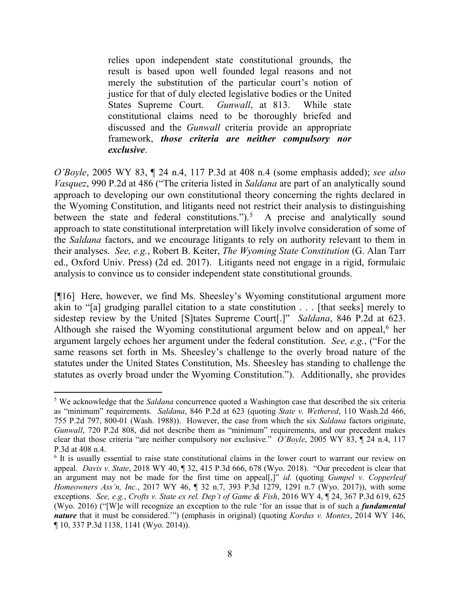relies upon independent state constitutional grounds, the result is based upon well founded legal reasons and not merely the substitution of the particular court's notion of justice for that of duly elected legislative bodies or the United States Supreme Court. *Gunwall*, at 813. While state constitutional claims need to be thoroughly briefed and discussed and the *Gunwall* criteria provide an appropriate framework, *those criteria are neither compulsory nor exclusive*.

*O'Boyle*, 2005 WY 83, ¶ 24 n.4, 117 P.3d at 408 n.4 (some emphasis added); *see also Vasquez*, 990 P.2d at 486 ("The criteria listed in *Saldana* are part of an analytically sound approach to developing our own constitutional theory concerning the rights declared in the Wyoming Constitution, and litigants need not restrict their analysis to distinguishing between the state and federal constitutions." $)$ .<sup>[5](#page-8-0)</sup> A precise and analytically sound approach to state constitutional interpretation will likely involve consideration of some of the *Saldana* factors, and we encourage litigants to rely on authority relevant to them in their analyses. *See, e.g.*, Robert B. Keiter, *The Wyoming State Constitution* (G. Alan Tarr ed., Oxford Univ. Press) (2d ed. 2017). Litigants need not engage in a rigid, formulaic analysis to convince us to consider independent state constitutional grounds.

[¶16] Here, however, we find Ms. Sheesley's Wyoming constitutional argument more akin to "[a] grudging parallel citation to a state constitution . . . [that seeks] merely to sidestep review by the United [S]tates Supreme Court[.]" *Saldana*, 846 P.2d at 623. Although she raised the Wyoming constitutional argument below and on appeal, $6$  her argument largely echoes her argument under the federal constitution. *See, e.g.*, ("For the same reasons set forth in Ms. Sheesley's challenge to the overly broad nature of the statutes under the United States Constitution, Ms. Sheesley has standing to challenge the statutes as overly broad under the Wyoming Constitution."). Additionally, she provides

<span id="page-8-0"></span> <sup>5</sup> We acknowledge that the *Saldana* concurrence quoted a Washington case that described the six criteria as "minimum" requirements. *Saldana*, 846 P.2d at 623 (quoting *State v. Wethered*, 110 Wash.2d 466, 755 P.2d 797, 800-01 (Wash. 1988)). However, the case from which the six *Saldana* factors originate, *Gunwall*, 720 P.2d 808, did not describe them as "minimum" requirements, and our precedent makes clear that those criteria "are neither compulsory nor exclusive." *O'Boyle*, 2005 WY 83, ¶ 24 n.4, 117 P.3d at 408 n.4.

<span id="page-8-1"></span><sup>&</sup>lt;sup>6</sup> It is usually essential to raise state constitutional claims in the lower court to warrant our review on appeal. *Davis v. State*, 2018 WY 40, ¶ 32, 415 P.3d 666, 678 (Wyo. 2018). "Our precedent is clear that an argument may not be made for the first time on appeal[,]" *id.* (quoting *Gumpel v. Copperleaf Homeowners Ass'n, Inc.*, 2017 WY 46, ¶ 32 n.7, 393 P.3d 1279, 1291 n.7 (Wyo. 2017)), with some exceptions. *See, e.g.*, *Crofts v. State ex rel. Dep't of Game & Fish*, 2016 WY 4, ¶ 24, 367 P.3d 619, 625 (Wyo. 2016) ("[W]e will recognize an exception to the rule 'for an issue that is of such a *fundamental nature* that it must be considered.'") (emphasis in original) (quoting *Kordus v. Montes*, 2014 WY 146, ¶ 10, 337 P.3d 1138, 1141 (Wyo. 2014)).